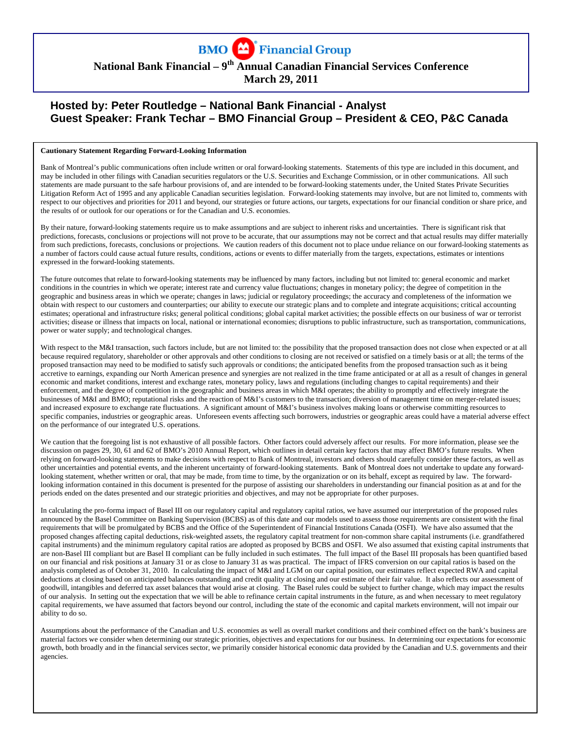

# **National Bank Financial – 9th Annual Canadian Financial Services Conference March 29, 2011**

# **Hosted by: Peter Routledge – National Bank Financial - Analyst Guest Speaker: Frank Techar – BMO Financial Group – President & CEO, P&C Canada**

#### **Cautionary Statement Regarding Forward-Looking Information**

Bank of Montreal's public communications often include written or oral forward-looking statements. Statements of this type are included in this document, and may be included in other filings with Canadian securities regulators or the U.S. Securities and Exchange Commission, or in other communications. All such statements are made pursuant to the safe harbour provisions of, and are intended to be forward-looking statements under, the United States Private Securities Litigation Reform Act of 1995 and any applicable Canadian securities legislation. Forward-looking statements may involve, but are not limited to, comments with respect to our objectives and priorities for 2011 and beyond, our strategies or future actions, our targets, expectations for our financial condition or share price, and the results of or outlook for our operations or for the Canadian and U.S. economies.

By their nature, forward-looking statements require us to make assumptions and are subject to inherent risks and uncertainties. There is significant risk that predictions, forecasts, conclusions or projections will not prove to be accurate, that our assumptions may not be correct and that actual results may differ materially from such predictions, forecasts, conclusions or projections. We caution readers of this document not to place undue reliance on our forward-looking statements as a number of factors could cause actual future results, conditions, actions or events to differ materially from the targets, expectations, estimates or intentions expressed in the forward-looking statements.

The future outcomes that relate to forward-looking statements may be influenced by many factors, including but not limited to: general economic and market conditions in the countries in which we operate; interest rate and currency value fluctuations; changes in monetary policy; the degree of competition in the geographic and business areas in which we operate; changes in laws; judicial or regulatory proceedings; the accuracy and completeness of the information we obtain with respect to our customers and counterparties; our ability to execute our strategic plans and to complete and integrate acquisitions; critical accounting estimates; operational and infrastructure risks; general political conditions; global capital market activities; the possible effects on our business of war or terrorist activities; disease or illness that impacts on local, national or international economies; disruptions to public infrastructure, such as transportation, communications, power or water supply; and technological changes.

With respect to the M&I transaction, such factors include, but are not limited to: the possibility that the proposed transaction does not close when expected or at all because required regulatory, shareholder or other approvals and other conditions to closing are not received or satisfied on a timely basis or at all; the terms of the proposed transaction may need to be modified to satisfy such approvals or conditions; the anticipated benefits from the proposed transaction such as it being accretive to earnings, expanding our North American presence and synergies are not realized in the time frame anticipated or at all as a result of changes in general economic and market conditions, interest and exchange rates, monetary policy, laws and regulations (including changes to capital requirements) and their enforcement, and the degree of competition in the geographic and business areas in which M&I operates; the ability to promptly and effectively integrate the businesses of M&I and BMO; reputational risks and the reaction of M&I's customers to the transaction; diversion of management time on merger-related issues; and increased exposure to exchange rate fluctuations. A significant amount of M&I's business involves making loans or otherwise committing resources to specific companies, industries or geographic areas. Unforeseen events affecting such borrowers, industries or geographic areas could have a material adverse effect on the performance of our integrated U.S. operations.

We caution that the foregoing list is not exhaustive of all possible factors. Other factors could adversely affect our results. For more information, please see the discussion on pages 29, 30, 61 and 62 of BMO's 2010 Annual Report, which outlines in detail certain key factors that may affect BMO's future results. When relying on forward-looking statements to make decisions with respect to Bank of Montreal, investors and others should carefully consider these factors, as well as other uncertainties and potential events, and the inherent uncertainty of forward-looking statements. Bank of Montreal does not undertake to update any forwardlooking statement, whether written or oral, that may be made, from time to time, by the organization or on its behalf, except as required by law. The forwardlooking information contained in this document is presented for the purpose of assisting our shareholders in understanding our financial position as at and for the periods ended on the dates presented and our strategic priorities and objectives, and may not be appropriate for other purposes.

In calculating the pro-forma impact of Basel III on our regulatory capital and regulatory capital ratios, we have assumed our interpretation of the proposed rules announced by the Basel Committee on Banking Supervision (BCBS) as of this date and our models used to assess those requirements are consistent with the final requirements that will be promulgated by BCBS and the Office of the Superintendent of Financial Institutions Canada (OSFI). We have also assumed that the proposed changes affecting capital deductions, risk-weighted assets, the regulatory capital treatment for non-common share capital instruments (i.e. grandfathered capital instruments) and the minimum regulatory capital ratios are adopted as proposed by BCBS and OSFI. We also assumed that existing capital instruments that are non-Basel III compliant but are Basel II compliant can be fully included in such estimates. The full impact of the Basel III proposals has been quantified based on our financial and risk positions at January 31 or as close to January 31 as was practical. The impact of IFRS conversion on our capital ratios is based on the analysis completed as of October 31, 2010. In calculating the impact of M&I and LGM on our capital position, our estimates reflect expected RWA and capital deductions at closing based on anticipated balances outstanding and credit quality at closing and our estimate of their fair value. It also reflects our assessment of goodwill, intangibles and deferred tax asset balances that would arise at closing. The Basel rules could be subject to further change, which may impact the results of our analysis. In setting out the expectation that we will be able to refinance certain capital instruments in the future, as and when necessary to meet regulatory capital requirements, we have assumed that factors beyond our control, including the state of the economic and capital markets environment, will not impair our ability to do so.

Assumptions about the performance of the Canadian and U.S. economies as well as overall market conditions and their combined effect on the bank's business are material factors we consider when determining our strategic priorities, objectives and expectations for our business. In determining our expectations for economic growth, both broadly and in the financial services sector, we primarily consider historical economic data provided by the Canadian and U.S. governments and their agencies.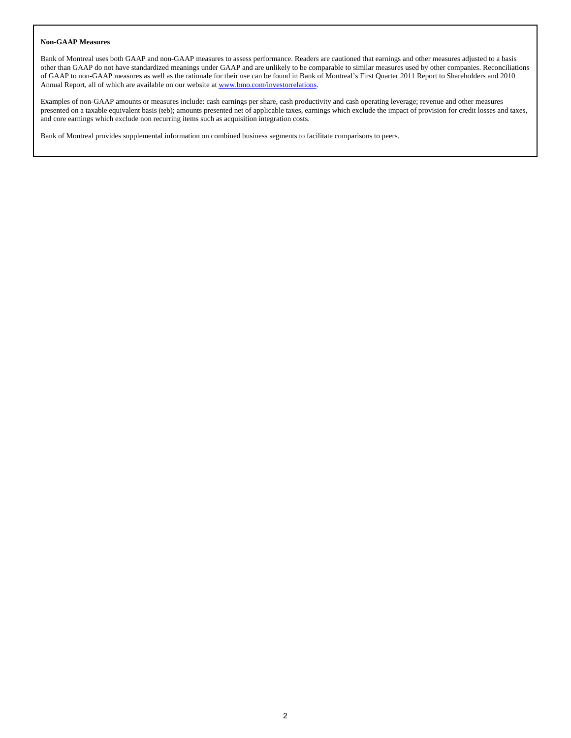#### **Non-GAAP Measures**

Bank of Montreal uses both GAAP and non-GAAP measures to assess performance. Readers are cautioned that earnings and other measures adjusted to a basis other than GAAP do not have standardized meanings under GAAP and are unlikely to be comparable to similar measures used by other companies. Reconciliations of GAAP to non-GAAP measures as well as the rationale for their use can be found in Bank of Montreal's First Quarter 2011 Report to Shareholders and 2010 Annual Report, all of which are available on our website at www.bmo.com/investorrelations.

Examples of non-GAAP amounts or measures include: cash earnings per share, cash productivity and cash operating leverage; revenue and other measures presented on a taxable equivalent basis (teb); amounts presented net of applicable taxes, earnings which exclude the impact of provision for credit losses and taxes, and core earnings which exclude non recurring items such as acquisition integration costs.

Bank of Montreal provides supplemental information on combined business segments to facilitate comparisons to peers.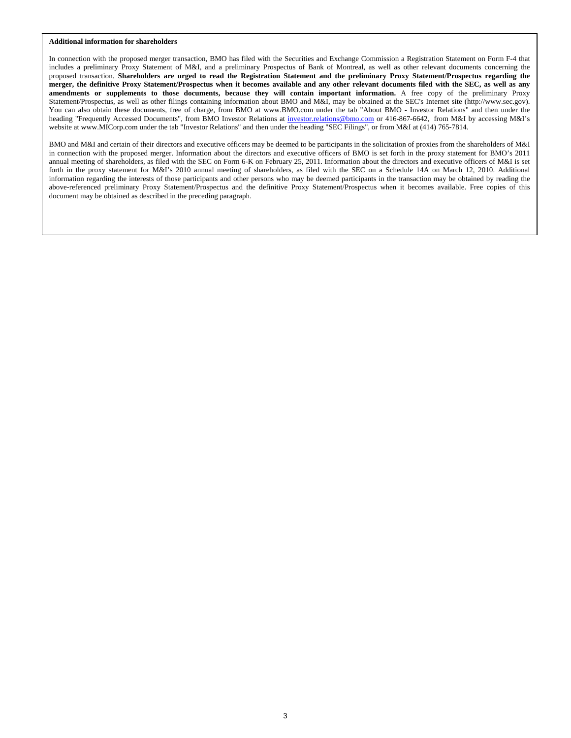#### **Additional information for shareholders**

In connection with the proposed merger transaction, BMO has filed with the Securities and Exchange Commission a Registration Statement on Form F-4 that includes a preliminary Proxy Statement of M&I, and a preliminary Prospectus of Bank of Montreal, as well as other relevant documents concerning the proposed transaction. **Shareholders are urged to read the Registration Statement and the preliminary Proxy Statement/Prospectus regarding the merger, the definitive Proxy Statement/Prospectus when it becomes available and any other relevant documents filed with the SEC, as well as any amendments or supplements to those documents, because they will contain important information.** A free copy of the preliminary Proxy Statement/Prospectus, as well as other filings containing information about BMO and M&I, may be obtained at the SEC's Internet site (http://www.sec.gov). You can also obtain these documents, free of charge, from BMO at www.BMO.com under the tab "About BMO - Investor Relations" and then under the heading "Frequently Accessed Documents", from BMO Investor Relations at investor.relations@bmo.com or 416-867-6642, from M&I by accessing M&I's website at www.MICorp.com under the tab "Investor Relations" and then under the heading "SEC Filings", or from M&I at (414) 765-7814.

BMO and M&I and certain of their directors and executive officers may be deemed to be participants in the solicitation of proxies from the shareholders of M&I in connection with the proposed merger. Information about the directors and executive officers of BMO is set forth in the proxy statement for BMO's 2011 annual meeting of shareholders, as filed with the SEC on Form 6-K on February 25, 2011. Information about the directors and executive officers of M&I is set forth in the proxy statement for M&I's 2010 annual meeting of shareholders, as filed with the SEC on a Schedule 14A on March 12, 2010. Additional information regarding the interests of those participants and other persons who may be deemed participants in the transaction may be obtained by reading the above-referenced preliminary Proxy Statement/Prospectus and the definitive Proxy Statement/Prospectus when it becomes available. Free copies of this document may be obtained as described in the preceding paragraph.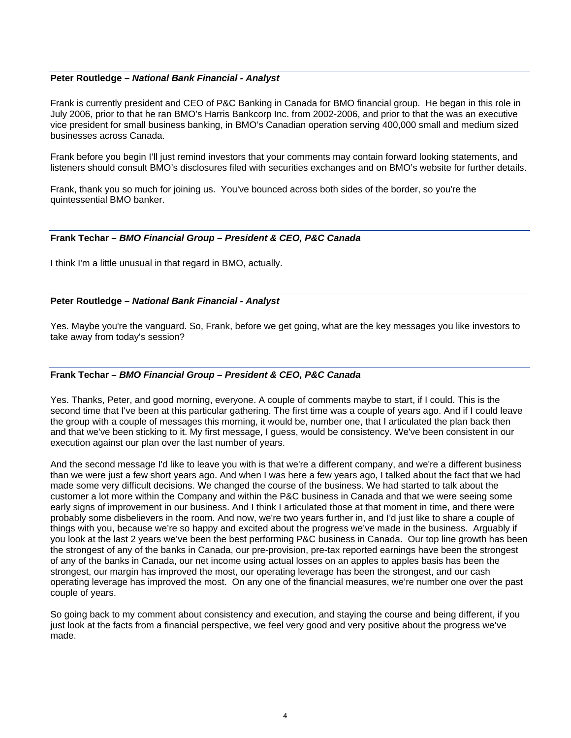#### **Peter Routledge** *– National Bank Financial - Analyst*

Frank is currently president and CEO of P&C Banking in Canada for BMO financial group. He began in this role in July 2006, prior to that he ran BMO's Harris Bankcorp Inc. from 2002-2006, and prior to that the was an executive vice president for small business banking, in BMO's Canadian operation serving 400,000 small and medium sized businesses across Canada.

Frank before you begin I'll just remind investors that your comments may contain forward looking statements, and listeners should consult BMO's disclosures filed with securities exchanges and on BMO's website for further details.

Frank, thank you so much for joining us. You've bounced across both sides of the border, so you're the quintessential BMO banker.

#### **Frank Techar** *– BMO Financial Group – President & CEO, P&C Canada*

I think I'm a little unusual in that regard in BMO, actually.

#### **Peter Routledge** *– National Bank Financial - Analyst*

Yes. Maybe you're the vanguard. So, Frank, before we get going, what are the key messages you like investors to take away from today's session?

### **Frank Techar** *– BMO Financial Group – President & CEO, P&C Canada*

Yes. Thanks, Peter, and good morning, everyone. A couple of comments maybe to start, if I could. This is the second time that I've been at this particular gathering. The first time was a couple of years ago. And if I could leave the group with a couple of messages this morning, it would be, number one, that I articulated the plan back then and that we've been sticking to it. My first message, I guess, would be consistency. We've been consistent in our execution against our plan over the last number of years.

And the second message I'd like to leave you with is that we're a different company, and we're a different business than we were just a few short years ago. And when I was here a few years ago, I talked about the fact that we had made some very difficult decisions. We changed the course of the business. We had started to talk about the customer a lot more within the Company and within the P&C business in Canada and that we were seeing some early signs of improvement in our business. And I think I articulated those at that moment in time, and there were probably some disbelievers in the room. And now, we're two years further in, and I'd just like to share a couple of things with you, because we're so happy and excited about the progress we've made in the business. Arguably if you look at the last 2 years we've been the best performing P&C business in Canada. Our top line growth has been the strongest of any of the banks in Canada, our pre-provision, pre-tax reported earnings have been the strongest of any of the banks in Canada, our net income using actual losses on an apples to apples basis has been the strongest, our margin has improved the most, our operating leverage has been the strongest, and our cash operating leverage has improved the most. On any one of the financial measures, we're number one over the past couple of years.

So going back to my comment about consistency and execution, and staying the course and being different, if you just look at the facts from a financial perspective, we feel very good and very positive about the progress we've made.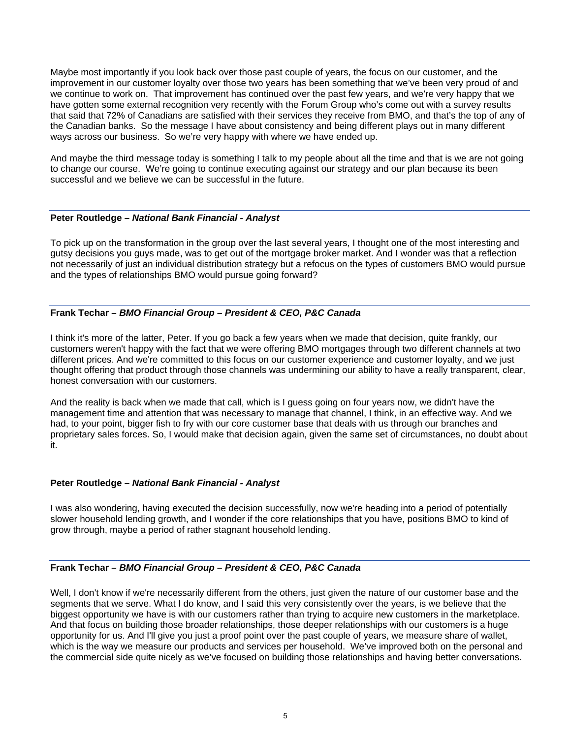Maybe most importantly if you look back over those past couple of years, the focus on our customer, and the improvement in our customer loyalty over those two years has been something that we've been very proud of and we continue to work on. That improvement has continued over the past few years, and we're very happy that we have gotten some external recognition very recently with the Forum Group who's come out with a survey results that said that 72% of Canadians are satisfied with their services they receive from BMO, and that's the top of any of the Canadian banks. So the message I have about consistency and being different plays out in many different ways across our business. So we're very happy with where we have ended up.

And maybe the third message today is something I talk to my people about all the time and that is we are not going to change our course. We're going to continue executing against our strategy and our plan because its been successful and we believe we can be successful in the future.

### **Peter Routledge** *– National Bank Financial - Analyst*

To pick up on the transformation in the group over the last several years, I thought one of the most interesting and gutsy decisions you guys made, was to get out of the mortgage broker market. And I wonder was that a reflection not necessarily of just an individual distribution strategy but a refocus on the types of customers BMO would pursue and the types of relationships BMO would pursue going forward?

## **Frank Techar** *– BMO Financial Group – President & CEO, P&C Canada*

I think it's more of the latter, Peter. If you go back a few years when we made that decision, quite frankly, our customers weren't happy with the fact that we were offering BMO mortgages through two different channels at two different prices. And we're committed to this focus on our customer experience and customer loyalty, and we just thought offering that product through those channels was undermining our ability to have a really transparent, clear, honest conversation with our customers.

And the reality is back when we made that call, which is I guess going on four years now, we didn't have the management time and attention that was necessary to manage that channel, I think, in an effective way. And we had, to your point, bigger fish to fry with our core customer base that deals with us through our branches and proprietary sales forces. So, I would make that decision again, given the same set of circumstances, no doubt about it.

#### **Peter Routledge** *– National Bank Financial - Analyst*

I was also wondering, having executed the decision successfully, now we're heading into a period of potentially slower household lending growth, and I wonder if the core relationships that you have, positions BMO to kind of grow through, maybe a period of rather stagnant household lending.

## **Frank Techar** *– BMO Financial Group – President & CEO, P&C Canada*

Well, I don't know if we're necessarily different from the others, just given the nature of our customer base and the segments that we serve. What I do know, and I said this very consistently over the years, is we believe that the biggest opportunity we have is with our customers rather than trying to acquire new customers in the marketplace. And that focus on building those broader relationships, those deeper relationships with our customers is a huge opportunity for us. And I'll give you just a proof point over the past couple of years, we measure share of wallet, which is the way we measure our products and services per household. We've improved both on the personal and the commercial side quite nicely as we've focused on building those relationships and having better conversations.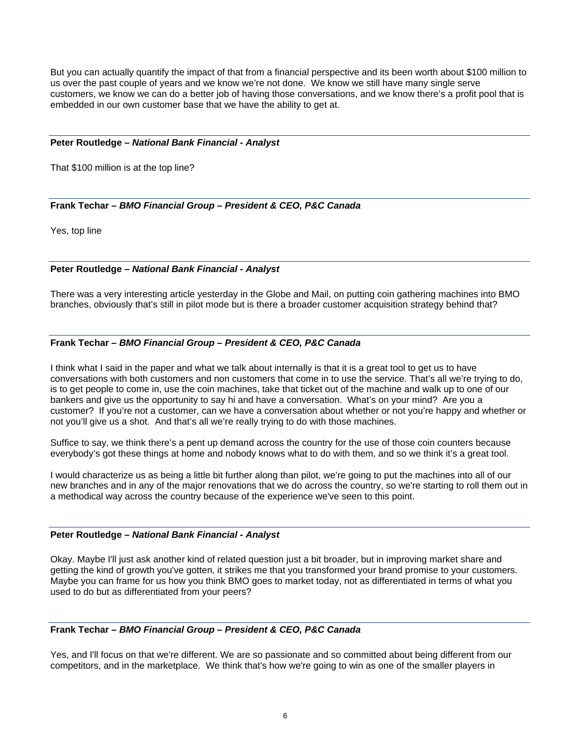But you can actually quantify the impact of that from a financial perspective and its been worth about \$100 million to us over the past couple of years and we know we're not done. We know we still have many single serve customers, we know we can do a better job of having those conversations, and we know there's a profit pool that is embedded in our own customer base that we have the ability to get at.

#### **Peter Routledge** *– National Bank Financial - Analyst*

That \$100 million is at the top line?

## **Frank Techar** *– BMO Financial Group – President & CEO, P&C Canada*

Yes, top line

### **Peter Routledge** *– National Bank Financial - Analyst*

There was a very interesting article yesterday in the Globe and Mail, on putting coin gathering machines into BMO branches, obviously that's still in pilot mode but is there a broader customer acquisition strategy behind that?

### **Frank Techar** *– BMO Financial Group – President & CEO, P&C Canada*

I think what I said in the paper and what we talk about internally is that it is a great tool to get us to have conversations with both customers and non customers that come in to use the service. That's all we're trying to do, is to get people to come in, use the coin machines, take that ticket out of the machine and walk up to one of our bankers and give us the opportunity to say hi and have a conversation. What's on your mind? Are you a customer? If you're not a customer, can we have a conversation about whether or not you're happy and whether or not you'll give us a shot. And that's all we're really trying to do with those machines.

Suffice to say, we think there's a pent up demand across the country for the use of those coin counters because everybody's got these things at home and nobody knows what to do with them, and so we think it's a great tool.

I would characterize us as being a little bit further along than pilot, we're going to put the machines into all of our new branches and in any of the major renovations that we do across the country, so we're starting to roll them out in a methodical way across the country because of the experience we've seen to this point.

#### **Peter Routledge** *– National Bank Financial - Analyst*

Okay. Maybe I'll just ask another kind of related question just a bit broader, but in improving market share and getting the kind of growth you've gotten, it strikes me that you transformed your brand promise to your customers. Maybe you can frame for us how you think BMO goes to market today, not as differentiated in terms of what you used to do but as differentiated from your peers?

#### **Frank Techar** *– BMO Financial Group – President & CEO, P&C Canada*

Yes, and I'll focus on that we're different. We are so passionate and so committed about being different from our competitors, and in the marketplace. We think that's how we're going to win as one of the smaller players in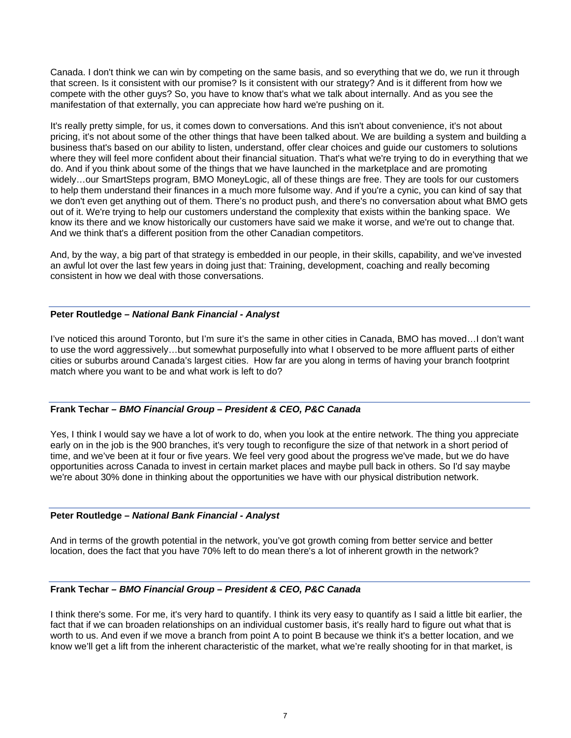Canada. I don't think we can win by competing on the same basis, and so everything that we do, we run it through that screen. Is it consistent with our promise? Is it consistent with our strategy? And is it different from how we compete with the other guys? So, you have to know that's what we talk about internally. And as you see the manifestation of that externally, you can appreciate how hard we're pushing on it.

It's really pretty simple, for us, it comes down to conversations. And this isn't about convenience, it's not about pricing, it's not about some of the other things that have been talked about. We are building a system and building a business that's based on our ability to listen, understand, offer clear choices and guide our customers to solutions where they will feel more confident about their financial situation. That's what we're trying to do in everything that we do. And if you think about some of the things that we have launched in the marketplace and are promoting widely…our SmartSteps program, BMO MoneyLogic, all of these things are free. They are tools for our customers to help them understand their finances in a much more fulsome way. And if you're a cynic, you can kind of say that we don't even get anything out of them. There's no product push, and there's no conversation about what BMO gets out of it. We're trying to help our customers understand the complexity that exists within the banking space. We know its there and we know historically our customers have said we make it worse, and we're out to change that. And we think that's a different position from the other Canadian competitors.

And, by the way, a big part of that strategy is embedded in our people, in their skills, capability, and we've invested an awful lot over the last few years in doing just that: Training, development, coaching and really becoming consistent in how we deal with those conversations.

## **Peter Routledge** *– National Bank Financial - Analyst*

I've noticed this around Toronto, but I'm sure it's the same in other cities in Canada, BMO has moved…I don't want to use the word aggressively…but somewhat purposefully into what I observed to be more affluent parts of either cities or suburbs around Canada's largest cities. How far are you along in terms of having your branch footprint match where you want to be and what work is left to do?

## **Frank Techar** *– BMO Financial Group – President & CEO, P&C Canada*

Yes, I think I would say we have a lot of work to do, when you look at the entire network. The thing you appreciate early on in the job is the 900 branches, it's very tough to reconfigure the size of that network in a short period of time, and we've been at it four or five years. We feel very good about the progress we've made, but we do have opportunities across Canada to invest in certain market places and maybe pull back in others. So I'd say maybe we're about 30% done in thinking about the opportunities we have with our physical distribution network.

#### **Peter Routledge** *– National Bank Financial - Analyst*

And in terms of the growth potential in the network, you've got growth coming from better service and better location, does the fact that you have 70% left to do mean there's a lot of inherent growth in the network?

## **Frank Techar** *– BMO Financial Group – President & CEO, P&C Canada*

I think there's some. For me, it's very hard to quantify. I think its very easy to quantify as I said a little bit earlier, the fact that if we can broaden relationships on an individual customer basis, it's really hard to figure out what that is worth to us. And even if we move a branch from point A to point B because we think it's a better location, and we know we'll get a lift from the inherent characteristic of the market, what we're really shooting for in that market, is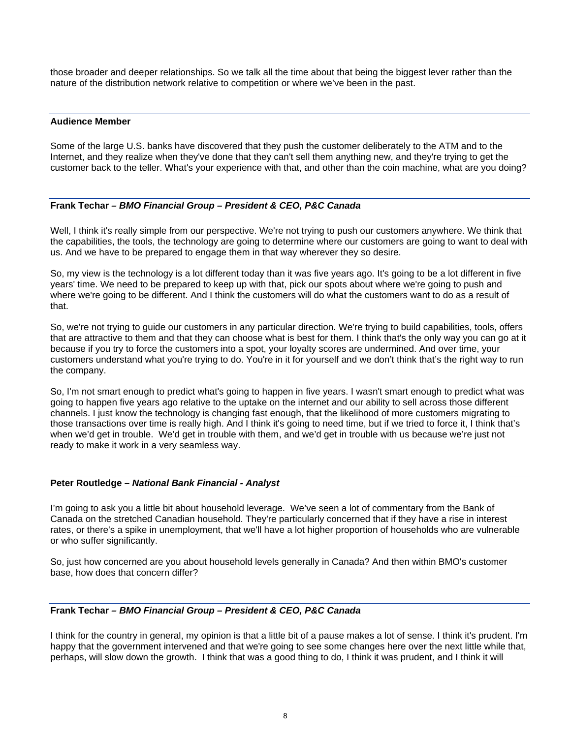those broader and deeper relationships. So we talk all the time about that being the biggest lever rather than the nature of the distribution network relative to competition or where we've been in the past.

#### **Audience Member**

Some of the large U.S. banks have discovered that they push the customer deliberately to the ATM and to the Internet, and they realize when they've done that they can't sell them anything new, and they're trying to get the customer back to the teller. What's your experience with that, and other than the coin machine, what are you doing?

## **Frank Techar** *– BMO Financial Group – President & CEO, P&C Canada*

Well, I think it's really simple from our perspective. We're not trying to push our customers anywhere. We think that the capabilities, the tools, the technology are going to determine where our customers are going to want to deal with us. And we have to be prepared to engage them in that way wherever they so desire.

So, my view is the technology is a lot different today than it was five years ago. It's going to be a lot different in five years' time. We need to be prepared to keep up with that, pick our spots about where we're going to push and where we're going to be different. And I think the customers will do what the customers want to do as a result of that.

So, we're not trying to guide our customers in any particular direction. We're trying to build capabilities, tools, offers that are attractive to them and that they can choose what is best for them. I think that's the only way you can go at it because if you try to force the customers into a spot, your loyalty scores are undermined. And over time, your customers understand what you're trying to do. You're in it for yourself and we don't think that's the right way to run the company.

So, I'm not smart enough to predict what's going to happen in five years. I wasn't smart enough to predict what was going to happen five years ago relative to the uptake on the internet and our ability to sell across those different channels. I just know the technology is changing fast enough, that the likelihood of more customers migrating to those transactions over time is really high. And I think it's going to need time, but if we tried to force it, I think that's when we'd get in trouble. We'd get in trouble with them, and we'd get in trouble with us because we're just not ready to make it work in a very seamless way.

## **Peter Routledge** *– National Bank Financial - Analyst*

I'm going to ask you a little bit about household leverage. We've seen a lot of commentary from the Bank of Canada on the stretched Canadian household. They're particularly concerned that if they have a rise in interest rates, or there's a spike in unemployment, that we'll have a lot higher proportion of households who are vulnerable or who suffer significantly.

So, just how concerned are you about household levels generally in Canada? And then within BMO's customer base, how does that concern differ?

## **Frank Techar** *– BMO Financial Group – President & CEO, P&C Canada*

I think for the country in general, my opinion is that a little bit of a pause makes a lot of sense. I think it's prudent. I'm happy that the government intervened and that we're going to see some changes here over the next little while that, perhaps, will slow down the growth. I think that was a good thing to do, I think it was prudent, and I think it will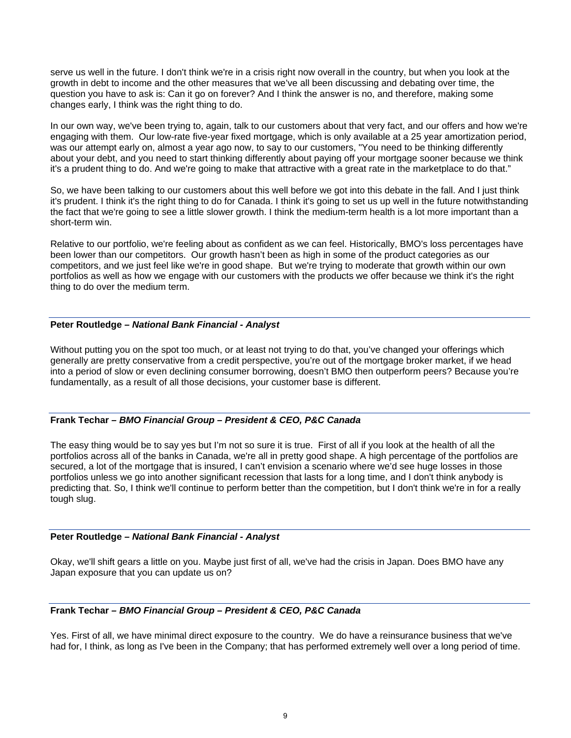serve us well in the future. I don't think we're in a crisis right now overall in the country, but when you look at the growth in debt to income and the other measures that we've all been discussing and debating over time, the question you have to ask is: Can it go on forever? And I think the answer is no, and therefore, making some changes early, I think was the right thing to do.

In our own way, we've been trying to, again, talk to our customers about that very fact, and our offers and how we're engaging with them. Our low-rate five-year fixed mortgage, which is only available at a 25 year amortization period, was our attempt early on, almost a year ago now, to say to our customers, "You need to be thinking differently about your debt, and you need to start thinking differently about paying off your mortgage sooner because we think it's a prudent thing to do. And we're going to make that attractive with a great rate in the marketplace to do that."

So, we have been talking to our customers about this well before we got into this debate in the fall. And I just think it's prudent. I think it's the right thing to do for Canada. I think it's going to set us up well in the future notwithstanding the fact that we're going to see a little slower growth. I think the medium-term health is a lot more important than a short-term win.

Relative to our portfolio, we're feeling about as confident as we can feel. Historically, BMO's loss percentages have been lower than our competitors. Our growth hasn't been as high in some of the product categories as our competitors, and we just feel like we're in good shape. But we're trying to moderate that growth within our own portfolios as well as how we engage with our customers with the products we offer because we think it's the right thing to do over the medium term.

### **Peter Routledge** *– National Bank Financial - Analyst*

Without putting you on the spot too much, or at least not trying to do that, you've changed your offerings which generally are pretty conservative from a credit perspective, you're out of the mortgage broker market, if we head into a period of slow or even declining consumer borrowing, doesn't BMO then outperform peers? Because you're fundamentally, as a result of all those decisions, your customer base is different.

## **Frank Techar** *– BMO Financial Group – President & CEO, P&C Canada*

The easy thing would be to say yes but I'm not so sure it is true. First of all if you look at the health of all the portfolios across all of the banks in Canada, we're all in pretty good shape. A high percentage of the portfolios are secured, a lot of the mortgage that is insured, I can't envision a scenario where we'd see huge losses in those portfolios unless we go into another significant recession that lasts for a long time, and I don't think anybody is predicting that. So, I think we'll continue to perform better than the competition, but I don't think we're in for a really tough slug.

#### **Peter Routledge** *– National Bank Financial - Analyst*

Okay, we'll shift gears a little on you. Maybe just first of all, we've had the crisis in Japan. Does BMO have any Japan exposure that you can update us on?

## **Frank Techar** *– BMO Financial Group – President & CEO, P&C Canada*

Yes. First of all, we have minimal direct exposure to the country. We do have a reinsurance business that we've had for, I think, as long as I've been in the Company; that has performed extremely well over a long period of time.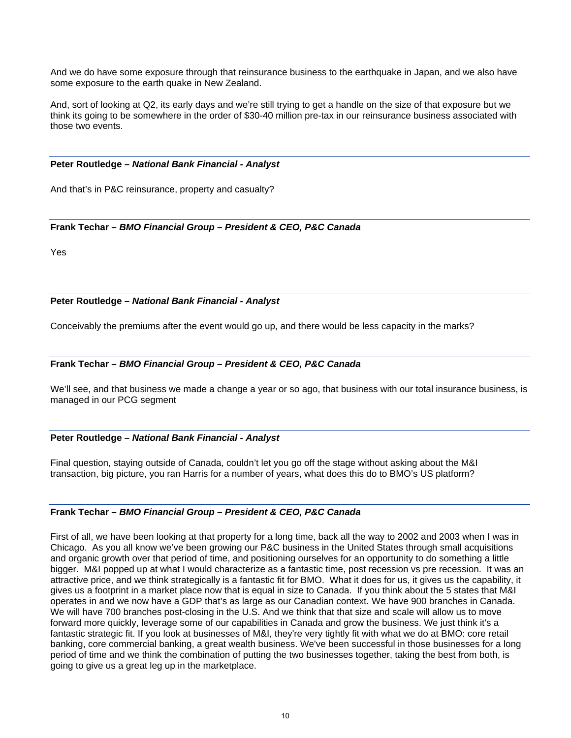And we do have some exposure through that reinsurance business to the earthquake in Japan, and we also have some exposure to the earth quake in New Zealand.

And, sort of looking at Q2, its early days and we're still trying to get a handle on the size of that exposure but we think its going to be somewhere in the order of \$30-40 million pre-tax in our reinsurance business associated with those two events.

### **Peter Routledge** *– National Bank Financial - Analyst*

And that's in P&C reinsurance, property and casualty?

### **Frank Techar** *– BMO Financial Group – President & CEO, P&C Canada*

Yes

**Peter Routledge** *– National Bank Financial - Analyst* 

Conceivably the premiums after the event would go up, and there would be less capacity in the marks?

## **Frank Techar** *– BMO Financial Group – President & CEO, P&C Canada*

We'll see, and that business we made a change a year or so ago, that business with our total insurance business, is managed in our PCG segment

#### **Peter Routledge** *– National Bank Financial - Analyst*

Final question, staying outside of Canada, couldn't let you go off the stage without asking about the M&I transaction, big picture, you ran Harris for a number of years, what does this do to BMO's US platform?

## **Frank Techar** *– BMO Financial Group – President & CEO, P&C Canada*

First of all, we have been looking at that property for a long time, back all the way to 2002 and 2003 when I was in Chicago. As you all know we've been growing our P&C business in the United States through small acquisitions and organic growth over that period of time, and positioning ourselves for an opportunity to do something a little bigger. M&I popped up at what I would characterize as a fantastic time, post recession vs pre recession. It was an attractive price, and we think strategically is a fantastic fit for BMO. What it does for us, it gives us the capability, it gives us a footprint in a market place now that is equal in size to Canada. If you think about the 5 states that M&I operates in and we now have a GDP that's as large as our Canadian context. We have 900 branches in Canada. We will have 700 branches post-closing in the U.S. And we think that that size and scale will allow us to move forward more quickly, leverage some of our capabilities in Canada and grow the business. We just think it's a fantastic strategic fit. If you look at businesses of M&I, they're very tightly fit with what we do at BMO: core retail banking, core commercial banking, a great wealth business. We've been successful in those businesses for a long period of time and we think the combination of putting the two businesses together, taking the best from both, is going to give us a great leg up in the marketplace.